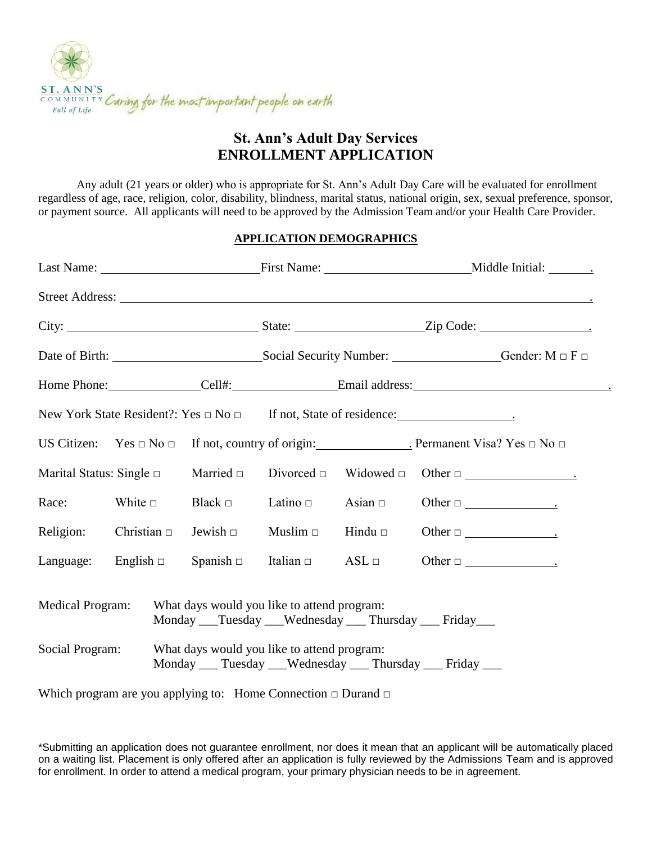

### **St. Ann's Adult Day Services ENROLLMENT APPLICATION**

Any adult (21 years or older) who is appropriate for St. Ann's Adult Day Care will be evaluated for enrollment regardless of age, race, religion, color, disability, blindness, marital status, national origin, sex, sexual preference, sponsor, or payment source. All applicants will need to be approved by the Admission Team and/or your Health Care Provider.

#### **APPLICATION DEMOGRAPHICS**

|                                                                                                                              |                  |  |                  |                                             |              | Street Address:                                                                                      |
|------------------------------------------------------------------------------------------------------------------------------|------------------|--|------------------|---------------------------------------------|--------------|------------------------------------------------------------------------------------------------------|
|                                                                                                                              |                  |  |                  |                                             |              |                                                                                                      |
|                                                                                                                              |                  |  |                  |                                             |              |                                                                                                      |
|                                                                                                                              |                  |  |                  |                                             |              | Home Phone: _______________Cell#: ___________________Email address: ________________________________ |
|                                                                                                                              |                  |  |                  |                                             |              |                                                                                                      |
|                                                                                                                              |                  |  |                  |                                             |              | US Citizen: Yes $\Box$ No $\Box$ If not, country of origin: Permanent Visa? Yes $\Box$ No $\Box$     |
| Marital Status: Single $\Box$                                                                                                |                  |  | Married $\Box$   | Divorced $\Box$                             |              | $\text{Widowed} \quad \text{Other} \quad \_\_$                                                       |
| Race:                                                                                                                        | White $\Box$     |  | Black $\Box$     | Latino $\Box$                               | Asian $\Box$ |                                                                                                      |
| Religion:                                                                                                                    | Christian $\Box$ |  | Jewish $\square$ | Muslim $\Box$                               | Hindu $\Box$ |                                                                                                      |
| Language: English $\Box$                                                                                                     |                  |  |                  | $Spanish \Box$ Italian $\Box$ ASL $\Box$    |              |                                                                                                      |
| <b>Medical Program:</b><br>What days would you like to attend program:<br>Monday __Tuesday __Wednesday __ Thursday __ Friday |                  |  |                  |                                             |              |                                                                                                      |
| Social Program:                                                                                                              |                  |  |                  | What days would you like to attend program: |              | Monday ___ Tuesday ___ Wednesday ___ Thursday ___ Friday ___                                         |

Which program are you applying to: Home Connection  $\Box$  Durand  $\Box$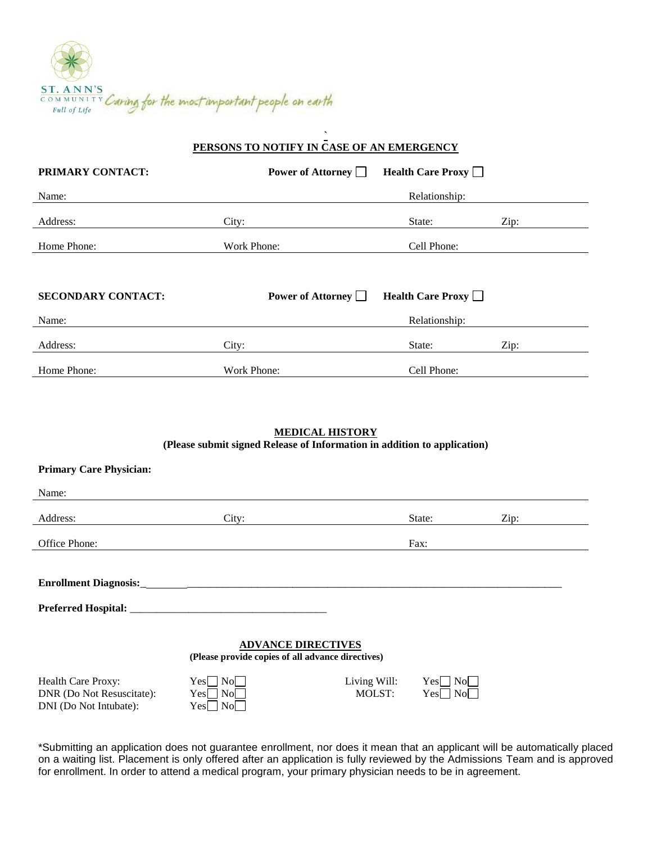

|                           | PERSONS TO NOTIFY IN CASE OF AN EMERGENCY |                          |      |  |
|---------------------------|-------------------------------------------|--------------------------|------|--|
| PRIMARY CONTACT:          | Power of Attorney                         | <b>Health Care Proxy</b> |      |  |
| Name:                     |                                           | Relationship:            |      |  |
| Address:                  | City:                                     | State:                   | Zip: |  |
| Home Phone:               | Work Phone:                               | Cell Phone:              |      |  |
|                           |                                           |                          |      |  |
| <b>SECONDARY CONTACT:</b> | Power of Attorney                         | <b>Health Care Proxy</b> |      |  |
| Name:                     |                                           | Relationship:            |      |  |
| Address:                  | City:                                     | State:                   | Zip: |  |
| Home Phone:               | Work Phone:                               | Cell Phone:              |      |  |

**`**

### **MEDICAL HISTORY (Please submit signed Release of Information in addition to application)**

| <b>Primary Care Physician:</b>                                                 |                                             |                               |                                   |      |
|--------------------------------------------------------------------------------|---------------------------------------------|-------------------------------|-----------------------------------|------|
| Name:                                                                          |                                             |                               |                                   |      |
| Address:                                                                       | City:                                       |                               | State:                            | Zip: |
| Office Phone:                                                                  |                                             |                               | Fax:                              |      |
|                                                                                |                                             |                               |                                   |      |
|                                                                                |                                             |                               |                                   |      |
|                                                                                |                                             |                               |                                   |      |
|                                                                                |                                             |                               |                                   |      |
| <b>ADVANCE DIRECTIVES</b><br>(Please provide copies of all advance directives) |                                             |                               |                                   |      |
| Health Care Proxy:<br>DNR (Do Not Resuscitate):<br>DNI (Do Not Intubate):      | No.<br>Yes<br>$\rm{No}$<br>Yes<br>Yes<br>No | Living Will:<br><b>MOLST:</b> | Yesl<br>No No<br>Yes<br><b>No</b> |      |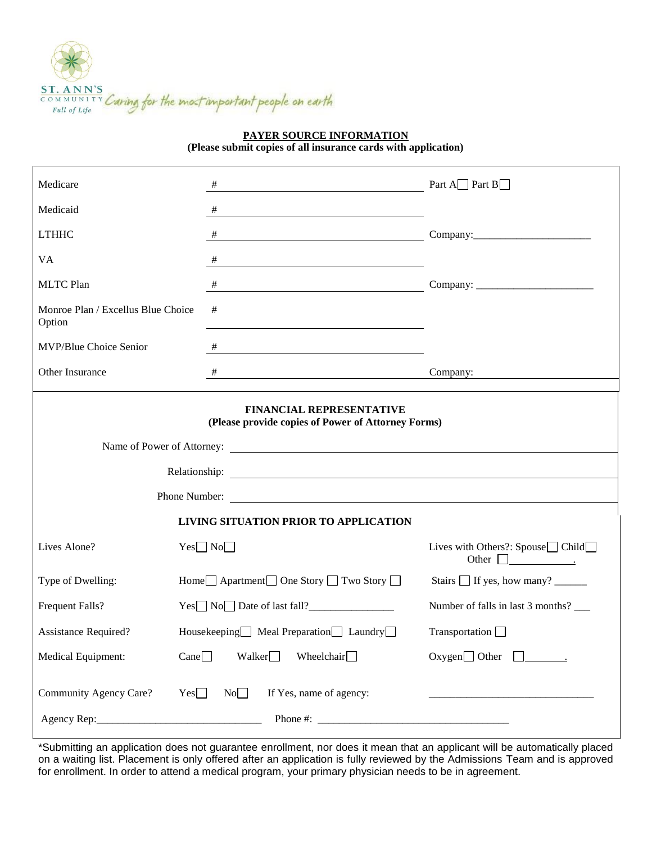

**PAYER SOURCE INFORMATION**

**(Please submit copies of all insurance cards with application)**

| Medicare                                     | #                                                                                                                         | Part A $\Box$ Part B $\Box$                                                  |  |  |  |  |
|----------------------------------------------|---------------------------------------------------------------------------------------------------------------------------|------------------------------------------------------------------------------|--|--|--|--|
| Medicaid                                     | #<br><u> 1989 - Johann Barn, amerikansk politiker (* 1908)</u>                                                            |                                                                              |  |  |  |  |
| <b>LTHHC</b>                                 | $\#$                                                                                                                      |                                                                              |  |  |  |  |
| VA                                           | #                                                                                                                         |                                                                              |  |  |  |  |
| <b>MLTC Plan</b>                             | #<br><u> 1980 - Johann Barn, mars eta bainar eta bainar eta baina eta baina eta baina eta baina eta baina eta baina e</u> |                                                                              |  |  |  |  |
| Monroe Plan / Excellus Blue Choice<br>Option | #                                                                                                                         |                                                                              |  |  |  |  |
| MVP/Blue Choice Senior                       | #<br><u> 1989 - Johann Stoff, fransk politik (d. 1989)</u>                                                                |                                                                              |  |  |  |  |
| Other Insurance                              | #<br><b>Company:</b> Company:                                                                                             |                                                                              |  |  |  |  |
|                                              | <b>FINANCIAL REPRESENTATIVE</b><br>(Please provide copies of Power of Attorney Forms)                                     |                                                                              |  |  |  |  |
|                                              |                                                                                                                           |                                                                              |  |  |  |  |
|                                              | Phone Number:                                                                                                             |                                                                              |  |  |  |  |
| LIVING SITUATION PRIOR TO APPLICATION        |                                                                                                                           |                                                                              |  |  |  |  |
| Lives Alone?                                 | $Yes \Box No \Box$                                                                                                        | Lives with Others?: Spouse $\Box$ Child $\Box$                               |  |  |  |  |
| Type of Dwelling:                            | Home□ Apartment□ One Story □ Two Story □                                                                                  | Stairs $\Box$ If yes, how many? $\_\_\_\_\_\_\_\_\_\_\_\_\_\_\_\_\_\_\_\_\_$ |  |  |  |  |
| Frequent Falls?                              | $Yes \Box No \Box Date of last fall?$                                                                                     | Number of falls in last 3 months? ______                                     |  |  |  |  |
| <b>Assistance Required?</b>                  | Housekeeping Meal Preparation Laundry                                                                                     | Transportation <u>D</u>                                                      |  |  |  |  |
| Medical Equipment:                           | Walker<br>Wheelchair $\Box$<br>Cane                                                                                       | $Oxygen$ Other                                                               |  |  |  |  |
| Community Agency Care?                       | No<br>Yes<br>If Yes, name of agency:                                                                                      |                                                                              |  |  |  |  |